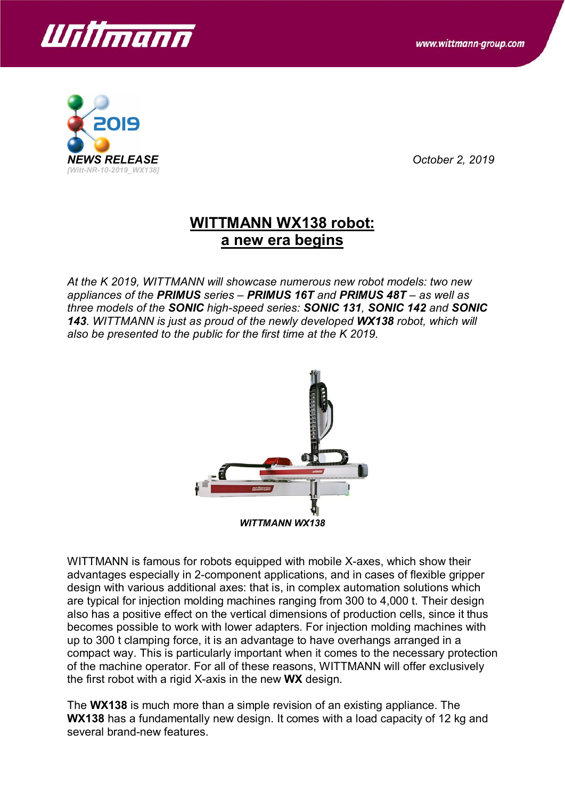



*NEWS RELEASE October 2, 2019*

## **WITTMANN WX138 robot: a new era begins**

*At the K 2019, WITTMANN will showcase numerous new robot models: two new appliances of the PRIMUS series – PRIMUS 16T and PRIMUS 48T – as well as three models of the SONIC high-speed series: SONIC 131, SONIC 142 and SONIC 143. WITTMANN is just as proud of the newly developed WX138 robot, which will also be presented to the public for the first time at the K 2019.*



WITTMANN is famous for robots equipped with mobile X-axes, which show their advantages especially in 2-component applications, and in cases of flexible gripper design with various additional axes: that is, in complex automation solutions which are typical for injection molding machines ranging from 300 to 4,000 t. Their design also has a positive effect on the vertical dimensions of production cells, since it thus becomes possible to work with lower adapters. For injection molding machines with up to 300 t clamping force, it is an advantage to have overhangs arranged in a compact way. This is particularly important when it comes to the necessary protection of the machine operator. For all of these reasons, WITTMANN will offer exclusively the first robot with a rigid X-axis in the new **WX** design.

The **WX138** is much more than a simple revision of an existing appliance. The **WX138** has a fundamentally new design. It comes with a load capacity of 12 kg and several brand-new features.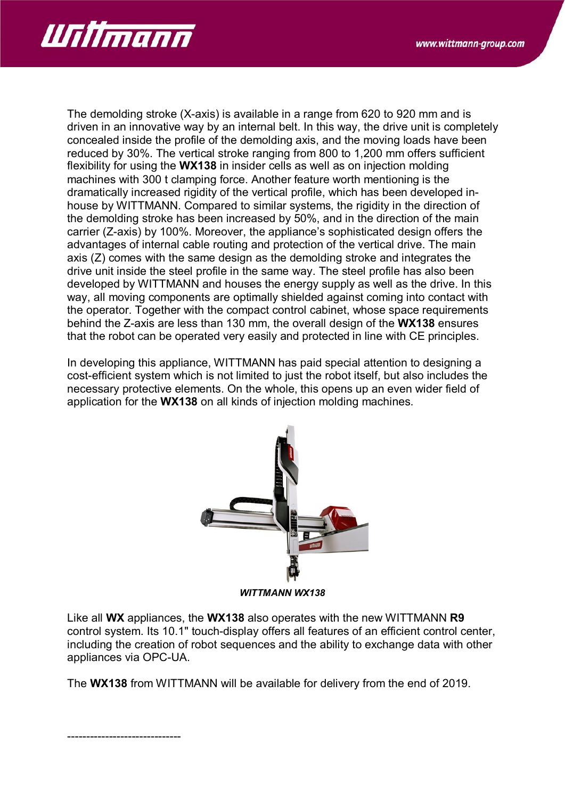

The demolding stroke (X-axis) is available in a range from 620 to 920 mm and is driven in an innovative way by an internal belt. In this way, the drive unit is completely concealed inside the profile of the demolding axis, and the moving loads have been reduced by 30%. The vertical stroke ranging from 800 to 1,200 mm offers sufficient flexibility for using the **WX138** in insider cells as well as on injection molding machines with 300 t clamping force. Another feature worth mentioning is the dramatically increased rigidity of the vertical profile, which has been developed inhouse by WITTMANN. Compared to similar systems, the rigidity in the direction of the demolding stroke has been increased by 50%, and in the direction of the main carrier (Z-axis) by 100%. Moreover, the appliance's sophisticated design offers the advantages of internal cable routing and protection of the vertical drive. The main axis (Z) comes with the same design as the demolding stroke and integrates the drive unit inside the steel profile in the same way. The steel profile has also been developed by WITTMANN and houses the energy supply as well as the drive. In this way, all moving components are optimally shielded against coming into contact with the operator. Together with the compact control cabinet, whose space requirements behind the Z-axis are less than 130 mm, the overall design of the **WX138** ensures that the robot can be operated very easily and protected in line with CE principles.

In developing this appliance, WITTMANN has paid special attention to designing a cost-efficient system which is not limited to just the robot itself, but also includes the necessary protective elements. On the whole, this opens up an even wider field of application for the **WX138** on all kinds of injection molding machines.



*WITTMANN WX138*

Like all **WX** appliances, the **WX138** also operates with the new WITTMANN **R9** control system. Its 10.1" touch-display offers all features of an efficient control center, including the creation of robot sequences and the ability to exchange data with other appliances via OPC-UA.

The **WX138** from WITTMANN will be available for delivery from the end of 2019.

------------------------------